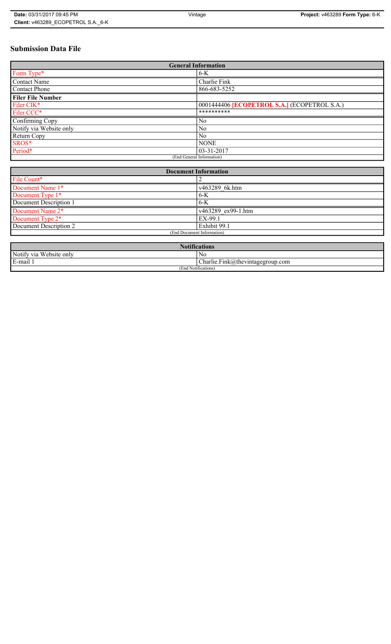# **Submission Data File**

| <b>General Information</b> |                                                     |  |
|----------------------------|-----------------------------------------------------|--|
| Form Type*                 | $6-K$                                               |  |
| <b>Contact Name</b>        | Charlie Fink                                        |  |
| <b>Contact Phone</b>       | 866-683-5252                                        |  |
| <b>Filer File Number</b>   |                                                     |  |
| Filer CIK*                 | 0001444406 <b>[ECOPETROL S.A.]</b> (ECOPETROL S.A.) |  |
| Filer CCC*                 | **********                                          |  |
| Confirming Copy            | N <sub>0</sub>                                      |  |
| Notify via Website only    | N <sub>0</sub>                                      |  |
| Return Copy                | N <sub>0</sub>                                      |  |
| SROS*                      | <b>NONE</b>                                         |  |
| Period*                    | $03 - 31 - 2017$                                    |  |
| (End General Information)  |                                                     |  |

| <b>Document Information</b>  |                    |
|------------------------------|--------------------|
| File Count*                  |                    |
| Document Name 1*             | v463289 6k.htm     |
| Document Type 1*             | $6-K$              |
| Document Description 1       | $6 - K$            |
| Document Name 2 <sup>*</sup> | v463289 ex99-1.htm |
| Document Type 2 <sup>*</sup> | EX-99.1            |
| Document Description 2       | Exhibit 99.1       |
| (End Document Information)   |                    |
|                              |                    |

| <b>Notifications</b>    |                                  |  |
|-------------------------|----------------------------------|--|
| Notify via Website only | No                               |  |
| E-mail 1                | Charlie.Fink@thevintagegroup.com |  |
| (End Notifications)     |                                  |  |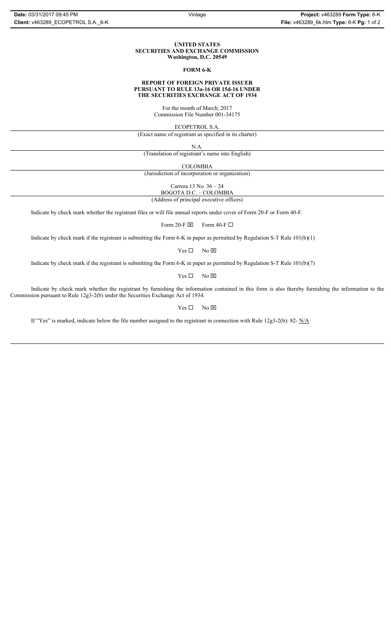### **UNITED STATES SECURITIES AND EXCHANGE COMMISSION Washington, D.C. 20549**

### **FORM 6-K**

#### **REPORT OF FOREIGN PRIVATE ISSUER PURSUANT TO RULE 13a-16 OR 15d-16 UNDER THE SECURITIES EXCHANGE ACT OF 1934**

For the month of March, 2017 Commission File Number 001-34175

ECOPETROL S.A.

(Exact name of registrant as specified in its charter)

N.A.

(Translation of registrant's name into English)

COLOMBIA

(Jurisdiction of incorporation or organization)

Carrera 13 No. 36 – 24

BOGOTA D.C. – COLOMBIA (Address of principal executive offices)

Indicate by check mark whether the registrant files or will file annual reports under cover of Form 20-F or Form 40-F.

Form 20-F  $\boxtimes$  Form 40-F  $\Box$ 

Indicate by check mark if the registrant is submitting the Form 6-K in paper as permitted by Regulation S-T Rule 101(b)(1)

 $Yes \Box$  No  $\boxtimes$ 

Indicate by check mark if the registrant is submitting the Form 6-K in paper as permitted by Regulation S-T Rule 101(b)(7)

 $Yes \Box$  No  $\boxtimes$ 

Indicate by check mark whether the registrant by furnishing the information contained in this form is also thereby furnishing the information to the Commission pursuant to Rule 12g3-2(b) under the Securities Exchange Act of 1934.

 $Yes \Box$  No  $\boxtimes$ 

If "Yes" is marked, indicate below the file number assigned to the registrant in connection with Rule 12g3-2(b): 82- N/A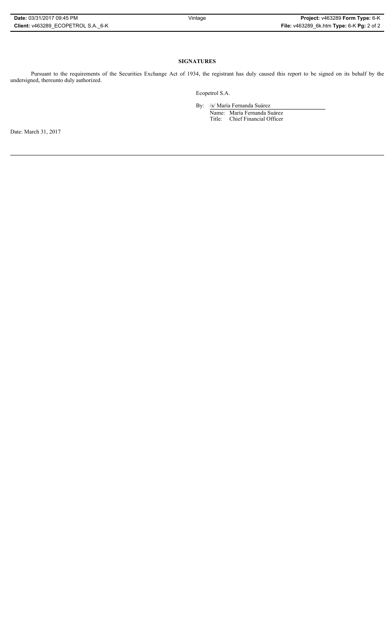## **SIGNATURES**

Pursuant to the requirements of the Securities Exchange Act of 1934, the registrant has duly caused this report to be signed on its behalf by the undersigned, thereunto duly authorized.

Ecopetrol S.A.

By: /s/ María Fernanda Suárez Name: María Fernanda Suárez Title: Chief Financial Officer

Date: March 31, 2017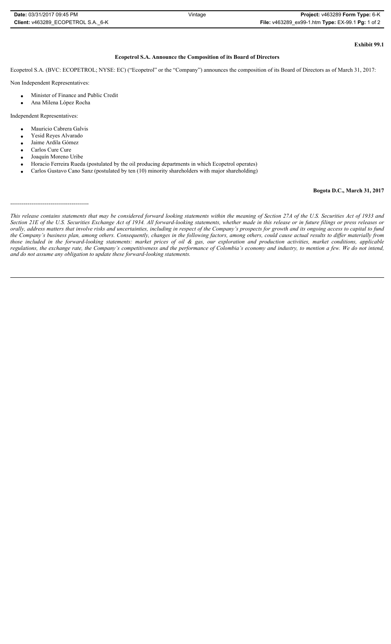| Date: 03/31/2017 09:45 PM          | Vintage | Project: v463289 Form Type: 6-K                   |
|------------------------------------|---------|---------------------------------------------------|
| Client: v463289 ECOPETROL S.A. 6-K |         | File: v463289 ex99-1.htm Type: EX-99.1 Pg: 1 of 2 |

# **Exhibit 99.1**

### **Ecopetrol S.A. Announce the Composition of its Board of Directors**

Ecopetrol S.A. (BVC: ECOPETROL; NYSE: EC) ("Ecopetrol" or the "Company") announces the composition of its Board of Directors as of March 31, 2017:

Non Independent Representatives:

- x Minister of Finance and Public Credit
- Ana Milena López Rocha

Independent Representatives:

- Mauricio Cabrera Galvis
- Yesid Reyes Alvarado
- Jaime Ardila Gómez
- Carlos Cure Cure
- Joaquín Moreno Uribe
- Horacio Ferreira Rueda (postulated by the oil producing departments in which Ecopetrol operates)
- Carlos Gustavo Cano Sanz (postulated by ten (10) minority shareholders with major shareholding)

### **Bogota D.C., March 31, 2017**

### -----------------------------------------

*This release contains statements that may be considered forward looking statements within the meaning of Section 27A of the U.S. Securities Act of 1933 and Section 21E of the U.S. Securities Exchange Act of 1934. All forward-looking statements, whether made in this release or in future filings or press releases or orally, address matters that involve risks and uncertainties, including in respect of the Company's prospects for growth and its ongoing access to capital to fund the Company's business plan, among others. Consequently, changes in the following factors, among others, could cause actual results to differ materially from those included in the forward-looking statements: market prices of oil & gas, our exploration and production activities, market conditions, applicable regulations, the exchange rate, the Company's competitiveness and the performance of Colombia's economy and industry, to mention a few. We do not intend, and do not assume any obligation to update these forward-looking statements.*